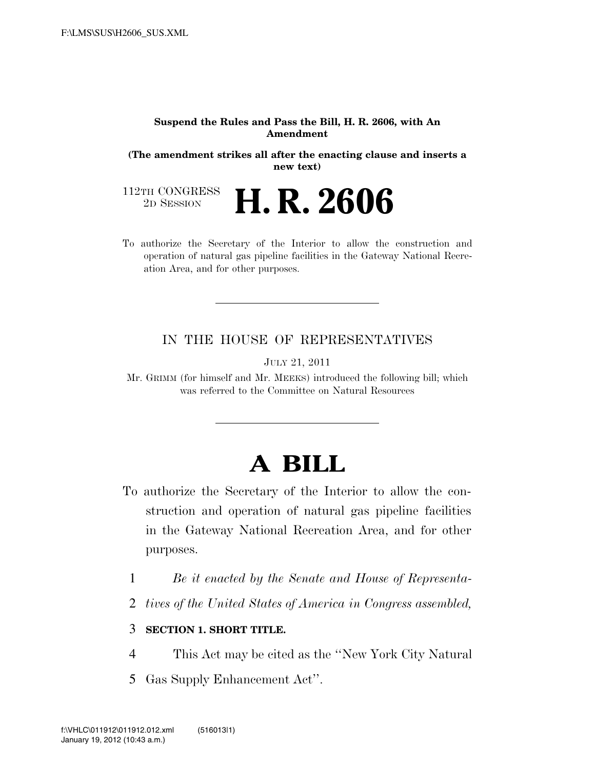#### **Suspend the Rules and Pass the Bill, H. R. 2606, with An Amendment**

**(The amendment strikes all after the enacting clause and inserts a new text)** 

112TH CONGRESS<br>2D SESSION 2D SESSION **H. R. 2606**

To authorize the Secretary of the Interior to allow the construction and operation of natural gas pipeline facilities in the Gateway National Recreation Area, and for other purposes.

### IN THE HOUSE OF REPRESENTATIVES

JULY 21, 2011

Mr. GRIMM (for himself and Mr. MEEKS) introduced the following bill; which was referred to the Committee on Natural Resources

# **A BILL**

- To authorize the Secretary of the Interior to allow the construction and operation of natural gas pipeline facilities in the Gateway National Recreation Area, and for other purposes.
	- 1 *Be it enacted by the Senate and House of Representa-*
	- 2 *tives of the United States of America in Congress assembled,*

# 3 **SECTION 1. SHORT TITLE.**

- 4 This Act may be cited as the ''New York City Natural
- 5 Gas Supply Enhancement Act''.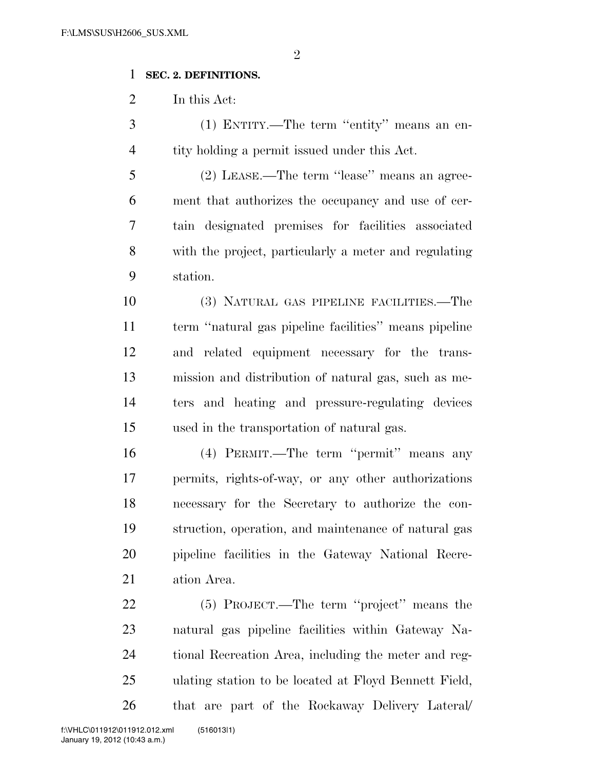$\mathfrak{D}$ 

# **SEC. 2. DEFINITIONS.**

In this Act:

 (1) ENTITY.—The term ''entity'' means an en-tity holding a permit issued under this Act.

 (2) LEASE.—The term ''lease'' means an agree- ment that authorizes the occupancy and use of cer- tain designated premises for facilities associated with the project, particularly a meter and regulating station.

 (3) NATURAL GAS PIPELINE FACILITIES.—The term ''natural gas pipeline facilities'' means pipeline and related equipment necessary for the trans- mission and distribution of natural gas, such as me- ters and heating and pressure-regulating devices used in the transportation of natural gas.

 (4) PERMIT.—The term ''permit'' means any permits, rights-of-way, or any other authorizations necessary for the Secretary to authorize the con- struction, operation, and maintenance of natural gas pipeline facilities in the Gateway National Recre-ation Area.

 (5) PROJECT.—The term ''project'' means the natural gas pipeline facilities within Gateway Na- tional Recreation Area, including the meter and reg- ulating station to be located at Floyd Bennett Field, that are part of the Rockaway Delivery Lateral/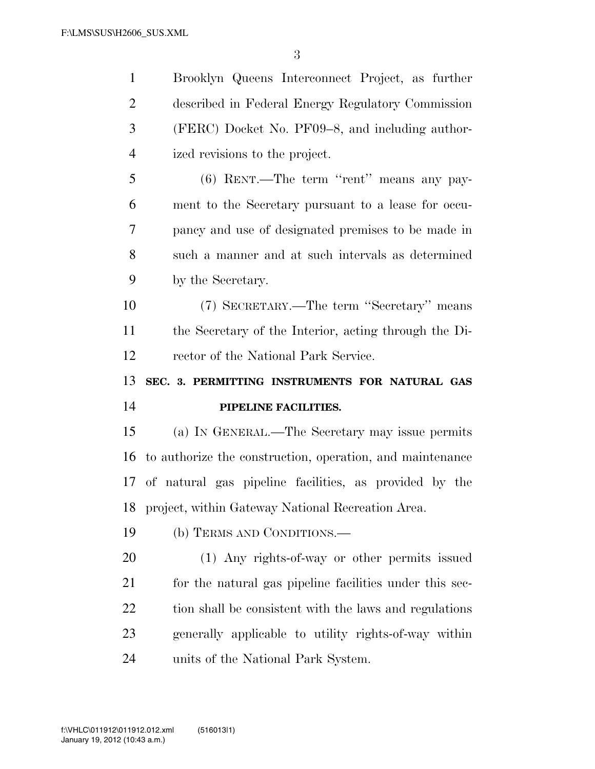Brooklyn Queens Interconnect Project, as further described in Federal Energy Regulatory Commission (FERC) Docket No. PF09–8, and including author- ized revisions to the project. (6) RENT.—The term ''rent'' means any pay- ment to the Secretary pursuant to a lease for occu- pancy and use of designated premises to be made in such a manner and at such intervals as determined by the Secretary. (7) SECRETARY.—The term ''Secretary'' means the Secretary of the Interior, acting through the Di- rector of the National Park Service. **SEC. 3. PERMITTING INSTRUMENTS FOR NATURAL GAS PIPELINE FACILITIES.**  (a) IN GENERAL.—The Secretary may issue permits to authorize the construction, operation, and maintenance of natural gas pipeline facilities, as provided by the project, within Gateway National Recreation Area. (b) TERMS AND CONDITIONS.— (1) Any rights-of-way or other permits issued for the natural gas pipeline facilities under this sec-22 tion shall be consistent with the laws and regulations generally applicable to utility rights-of-way within units of the National Park System.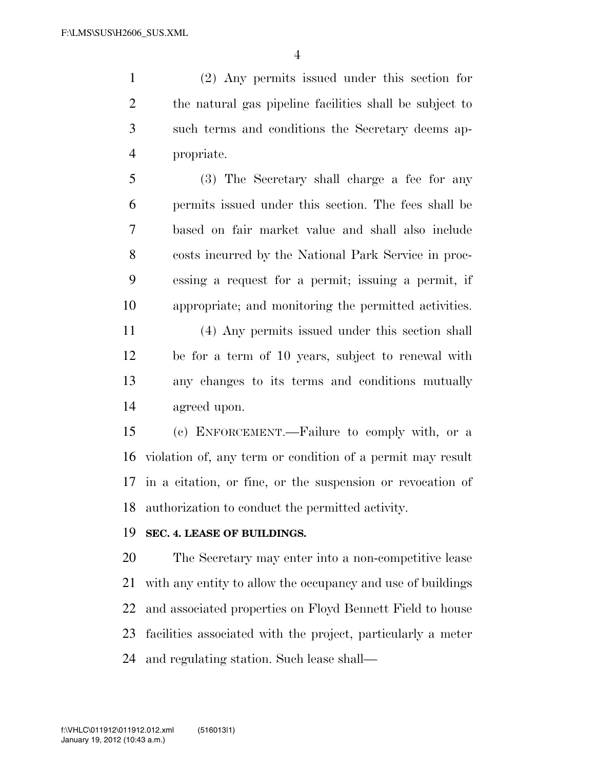(2) Any permits issued under this section for the natural gas pipeline facilities shall be subject to such terms and conditions the Secretary deems ap-propriate.

 (3) The Secretary shall charge a fee for any permits issued under this section. The fees shall be based on fair market value and shall also include costs incurred by the National Park Service in proc- essing a request for a permit; issuing a permit, if appropriate; and monitoring the permitted activities.

 (4) Any permits issued under this section shall be for a term of 10 years, subject to renewal with any changes to its terms and conditions mutually agreed upon.

 (c) ENFORCEMENT.—Failure to comply with, or a violation of, any term or condition of a permit may result in a citation, or fine, or the suspension or revocation of authorization to conduct the permitted activity.

## **SEC. 4. LEASE OF BUILDINGS.**

 The Secretary may enter into a non-competitive lease with any entity to allow the occupancy and use of buildings and associated properties on Floyd Bennett Field to house facilities associated with the project, particularly a meter and regulating station. Such lease shall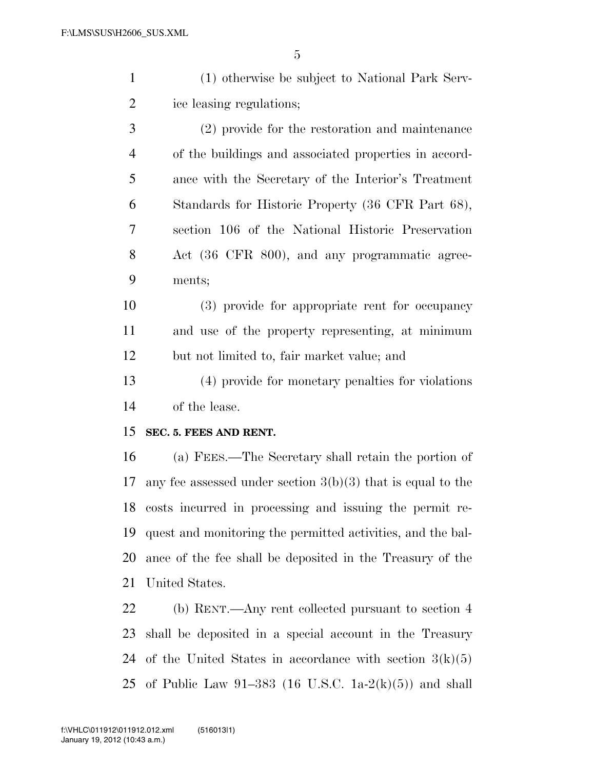| $\mathbf{1}$   | (1) otherwise be subject to National Park Serv-               |
|----------------|---------------------------------------------------------------|
| $\overline{c}$ | ice leasing regulations;                                      |
| 3              | (2) provide for the restoration and maintenance               |
| $\overline{4}$ | of the buildings and associated properties in accord-         |
| 5              | ance with the Secretary of the Interior's Treatment           |
| 6              | Standards for Historic Property (36 CFR Part 68),             |
| 7              | section 106 of the National Historic Preservation             |
| 8              | Act (36 CFR 800), and any programmatic agree-                 |
| 9              | ments;                                                        |
| 10             | (3) provide for appropriate rent for occupancy                |
| 11             | and use of the property representing, at minimum              |
| 12             | but not limited to, fair market value; and                    |
| 13             | (4) provide for monetary penalties for violations             |
| 14             | of the lease.                                                 |
| 15             | SEC. 5. FEES AND RENT.                                        |
| 16             | (a) FEES.—The Secretary shall retain the portion of           |
| 17             | any fee assessed under section $3(b)(3)$ that is equal to the |
| 18             | costs incurred in processing and issuing the permit re-       |
| 19             | quest and monitoring the permitted activities, and the bal-   |
| 20             | ance of the fee shall be deposited in the Treasury of the     |
| 21             | United States.                                                |
| 22             | (b) RENT.—Any rent collected pursuant to section 4            |
| 23             | shall be deposited in a special account in the Treasury       |
| 24             | of the United States in accordance with section $3(k)(5)$     |

of Public Law 91–383 (16 U.S.C. 1a-2(k)(5)) and shall